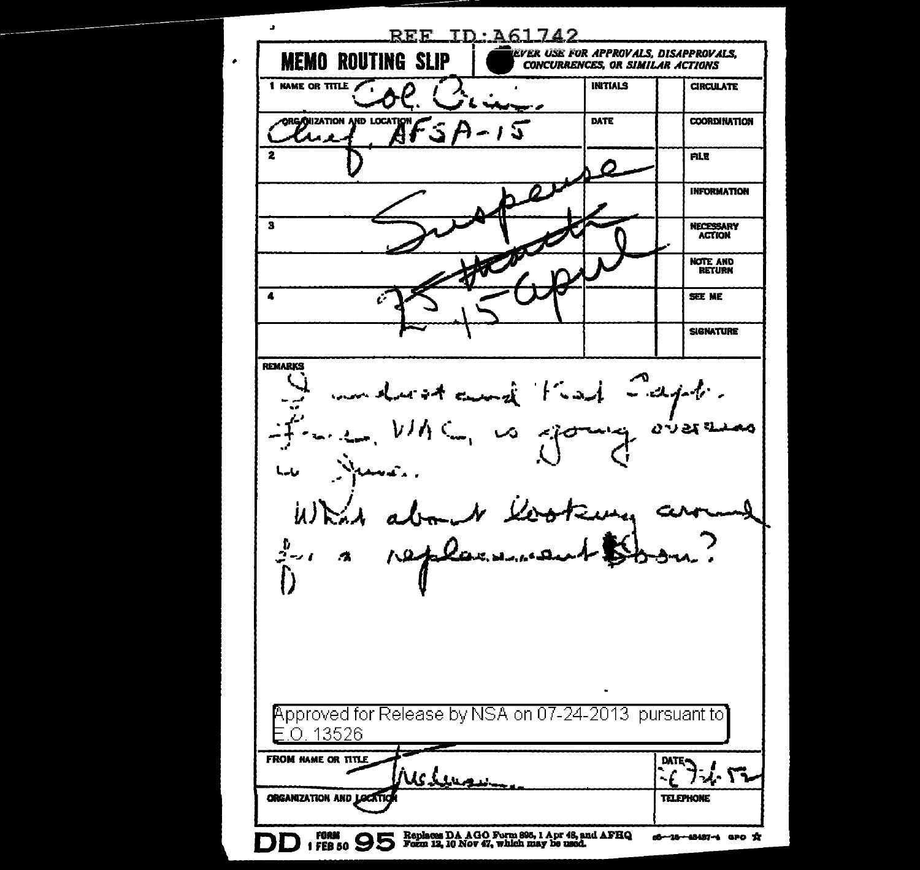$\ddot{\phantom{0}}$  $REF$  ID:  $261742$ **EVER USE FOR APPROVALS. DISAPPROVALS. MEMO ROUTING SLIP CONCURRENCES OR SIMILAR ACTIONS** I NAME OR TITLE **INITIALS** CIRCUI ATE ۰. D **Linderwork COORDINATION** ORG/OILZATION AND LOCATION DATE 3. ЗX. H **FILE INFORMATION**  $\overline{\mathbf{s}}$ **NECESSARY ACTION The B** NOTE AND RETÜRN  $\blacktriangle$ SEE ME **SIGNATURE** REMARKS watching that Capt. اد سي. ممنىة وي ر ماسا  $\mu$ )  $\approx$   $\lambda$ CL. ... N lonno ، ر-تي  $\bullet$ Approved for Release by NSA on 07-24-2013 pursuant to E.O. 13526 FROM NAME OR TITLE **DATE-**-7 フジ・バマ UC Leu ORGANIZATION AND LOC **TELEPHONE** DD 1 FORM 9 95 Form 12, 10 Nov 47, which may be used. d-18-48487-4 aro X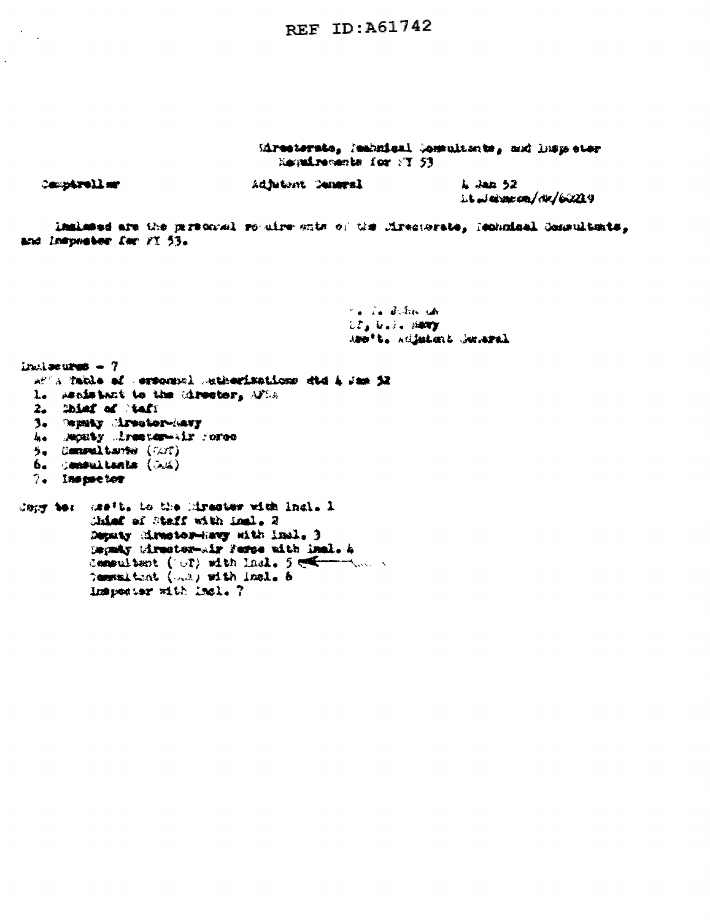REF ID: A61742

Miresterste, Mahnical Commultants, and limps ster Regalization for FT 53

| <b>Comparellur</b> |  |
|--------------------|--|
|                    |  |

 $In the  $4$  = 7$ 

Adjutent Cemeral

A Jan 52 it James / de /60209

Inslated are the partonsel routive ents of the Miresterate, Rechnical Commultants, and Inspealer for YT 53.

> to in detection Ula Usis Havy ABB't. Adjutint Juneral

```
of a fable of ersonsel subscisations did i im j2
  L. Assistant to the Cirestor, AFDA
  2. Shind of Stady
  3. Supaky Mrsstor-Ravy
  h. Monty Armster-Air force
  5. Commaltante (V.V.)
  6. Canaultente (Jul)
 7. Inspector
dapy be: meth. to the Mirester with Indi. 1
          Chief of Staff with inal. 2
          Deputy cirebor-havy sith Insl. 3
          Depair Mirector-wir Ferse with Inel. A
         Compulsant ( \cup ?) with last. 5 = 1, ...,Communicat (0.2) with incl. 5
          Inspector with Incl. 7
```